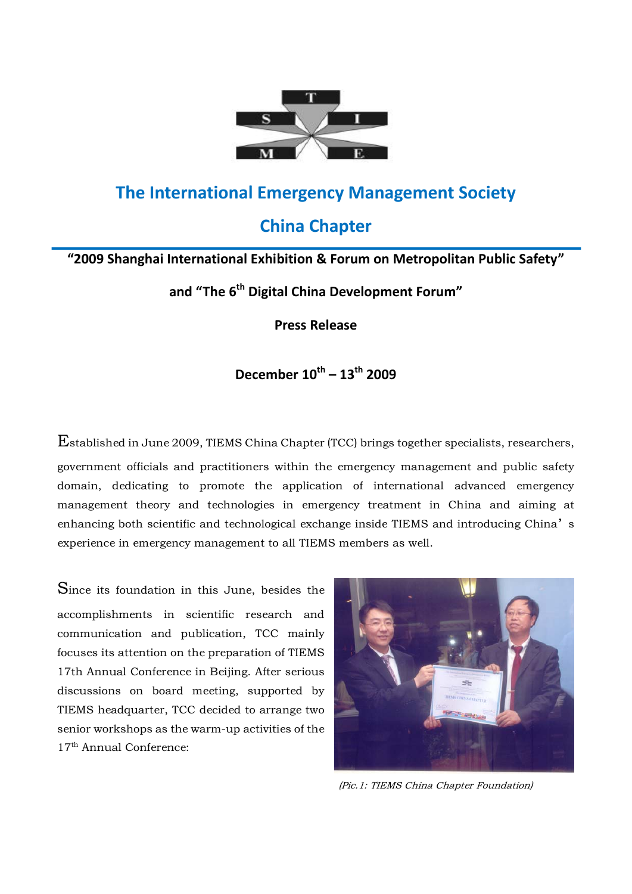

# **The International Emergency Management Society**

# **China Chapter**

### **"2009 Shanghai International Exhibition & Forum on Metropolitan Public Safety"**

**and "The 6th Digital China Development Forum"**

**Press Release**

## **December 10th – 13th 2009**

Established in June 2009, TIEMS China Chapter (TCC) brings together specialists, researchers,

government officials and practitioners within the emergency management and public safety domain, dedicating to promote the application of international advanced emergency management theory and technologies in emergency treatment in China and aiming at enhancing both scientific and technological exchange inside TIEMS and introducing China's experience in emergency management to all TIEMS members as well.

Since its foundation in this June, besides the accomplishments in scientific research and communication and publication, TCC mainly focuses its attention on the preparation of TIEMS 17th Annual Conference in Beijing. After serious discussions on board meeting, supported by TIEMS headquarter, TCC decided to arrange two senior workshops as the warm-up activities of the 17<sup>th</sup> Annual Conference:



(Pic.1: TIEMS China Chapter Foundation)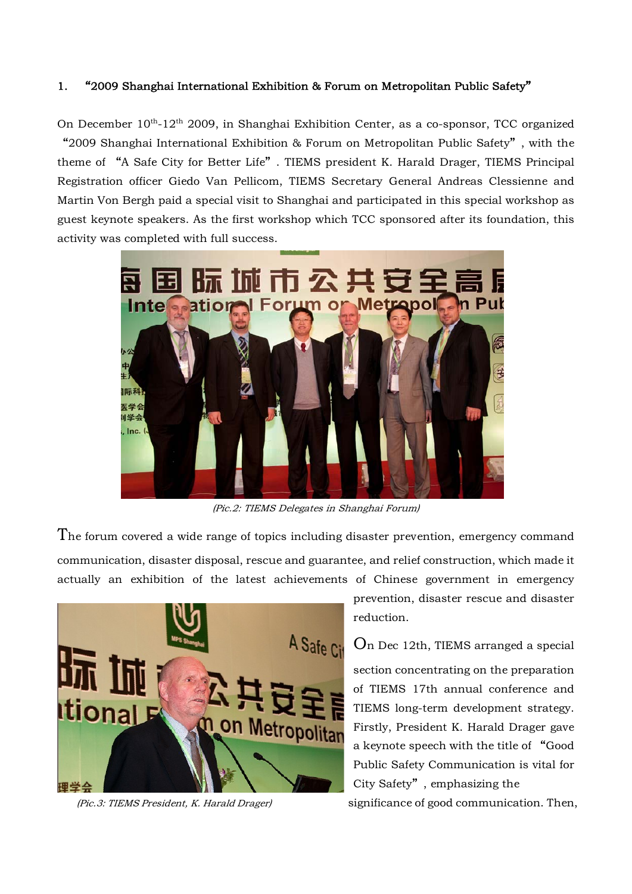#### 1. "2009 Shanghai International Exhibition & Forum on Metropolitan Public Safety"

On December 10<sup>th</sup>-12<sup>th</sup> 2009, in Shanghai Exhibition Center, as a co-sponsor, TCC organized "2009 Shanghai International Exhibition & Forum on Metropolitan Public Safety", with the theme of "A Safe City for Better Life". TIEMS president K. Harald Drager, TIEMS Principal Registration officer Giedo Van Pellicom, TIEMS Secretary General Andreas Clessienne and Martin Von Bergh paid a special visit to Shanghai and participated in this special workshop as guest keynote speakers. As the first workshop which TCC sponsored after its foundation, this activity was completed with full success.



(Pic.2: TIEMS Delegates in Shanghai Forum)

The forum covered a wide range of topics including disaster prevention, emergency command communication, disaster disposal, rescue and guarantee, and relief construction, which made it actually an exhibition of the latest achievements of Chinese government in emergency



prevention, disaster rescue and disaster reduction.

On Dec 12th, TIEMS arranged a special section concentrating on the preparation of TIEMS 17th annual conference and TIEMS long-term development strategy. Firstly, President K. Harald Drager gave a keynote speech with the title of "Good Public Safety Communication is vital for City Safety", emphasizing the

(Pic.3: TIEMS President, K. Harald Drager) significance of good communication. Then,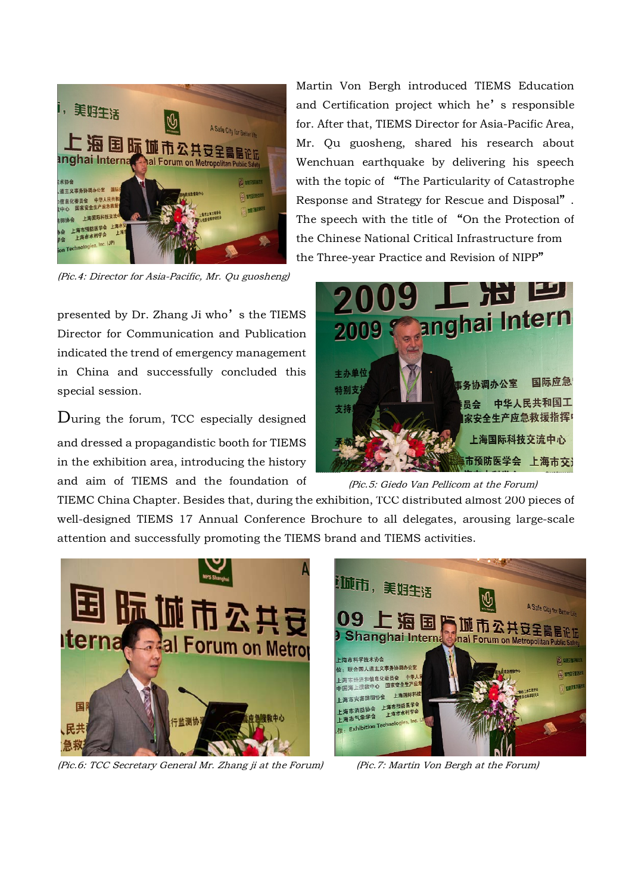

(Pic.4: Director for Asia-Pacific, Mr. Qu guosheng)

presented by Dr. Zhang Ji who's the TIEMS Director for Communication and Publication indicated the trend of emergency management in China and successfully concluded this special session.

During the forum, TCC especially designed and dressed a propagandistic booth for TIEMS in the exhibition area, introducing the history and aim of TIEMS and the foundation of

Martin Von Bergh introduced TIEMS Education and Certification project which he's responsible for. After that, TIEMS Director for Asia-Pacific Area, Mr. Qu guosheng, shared his research about Wenchuan earthquake by delivering his speech with the topic of "The Particularity of Catastrophe Response and Strategy for Rescue and Disposal". The speech with the title of "On the Protection of the Chinese National Critical Infrastructure from the Three-year Practice and Revision of NIPP"



(Pic.5: Giedo Van Pellicom at the Forum)

TIEMC China Chapter. Besides that, during the exhibition, TCC distributed almost 200 pieces of well-designed TIEMS 17 Annual Conference Brochure to all delegates, arousing large-scale attention and successfully promoting the TIEMS brand and TIEMS activities.



(Pic.6: TCC Secretary General Mr. Zhang ji at the Forum) (Pic.7: Martin Von Bergh at the Forum)

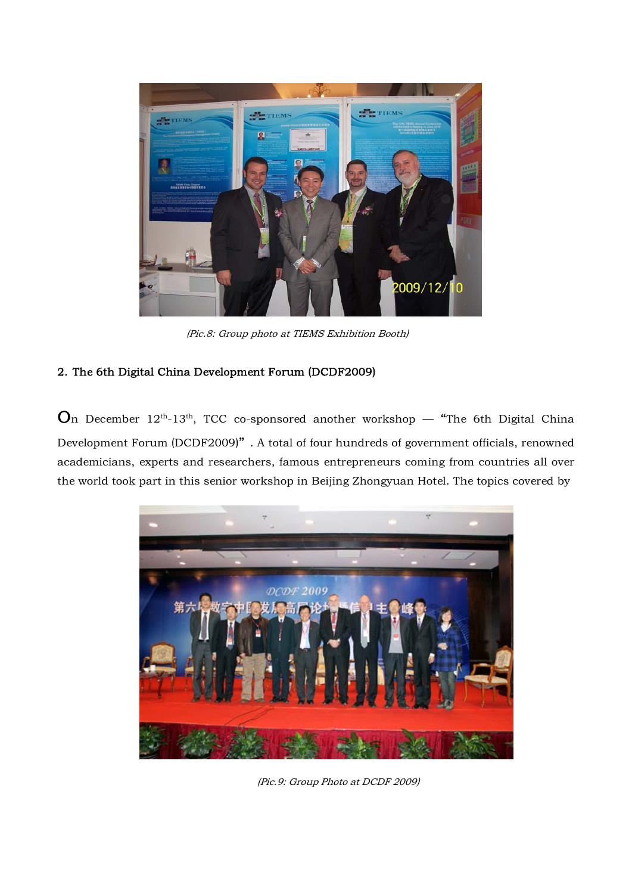

(Pic.8: Group photo at TIEMS Exhibition Booth)

#### 2. The 6th Digital China Development Forum (DCDF2009)

 $\mathbf{O}_n$  December 12<sup>th</sup>-13<sup>th</sup>, TCC co-sponsored another workshop — "The 6th Digital China Development Forum (DCDF2009)". A total of four hundreds of government officials, renowned academicians, experts and researchers, famous entrepreneurs coming from countries all over the world took part in this senior workshop in Beijing Zhongyuan Hotel. The topics covered by



(Pic.9: Group Photo at DCDF 2009)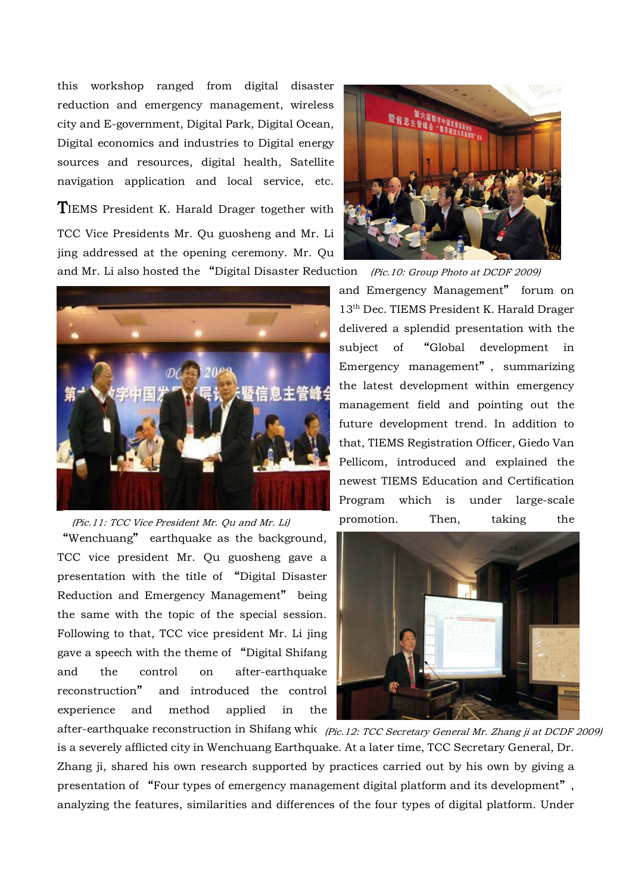this workshop ranged from digital disaster reduction and emergency management, wireless city and E-government, Digital Park, Digital Ocean, Digital economics and industries to Digital energy sources and resources, digital health, Satellite navigation application and local service, etc.

TIEMS President K. Harald Drager together with TCC Vice Presidents Mr. Qu guosheng and Mr. Li jing addressed at the opening ceremony. Mr. Qu and Mr. Li also hosted the "Digital Disaster Reduction



## "Wenchuang" earthquake as the background, TCC vice president Mr. Qu guosheng gave a presentation with the title of "Digital Disaster Reduction and Emergency Management" being the same with the topic of the special session. Following to that, TCC vice president Mr. Li jing gave a speech with the theme of "Digital Shifang and the control on after-earthquake reconstruction" and introduced the control experience and method applied in the (Pic.11: TCC Vice President Mr. Qu and Mr. Li)



and Emergency Management" forum on 13th Dec. TIEMS President K. Harald Drager delivered a splendid presentation with the subject of "Global development in Emergency management", summarizing the latest development within emergency management field and pointing out the future development trend. In addition to that, TIEMS Registration Officer, Giedo Van Pellicom, introduced and explained the newest TIEMS Education and Certification Program which is under large-scale promotion. Then, taking the (Pic.10: Group Photo at DCDF 2009)



after-earthquake reconstruction in Shifang whic *(Pic.12: TCC Secretary General Mr. Zhang ji at DCDF 2009)* is a severely afflicted city in Wenchuang Earthquake. At a later time, TCC Secretary General, Dr. Zhang ji, shared his own research supported by practices carried out by his own by giving a presentation of "Four types of emergency management digital platform and its development", analyzing the features, similarities and differences of the four types of digital platform. Under